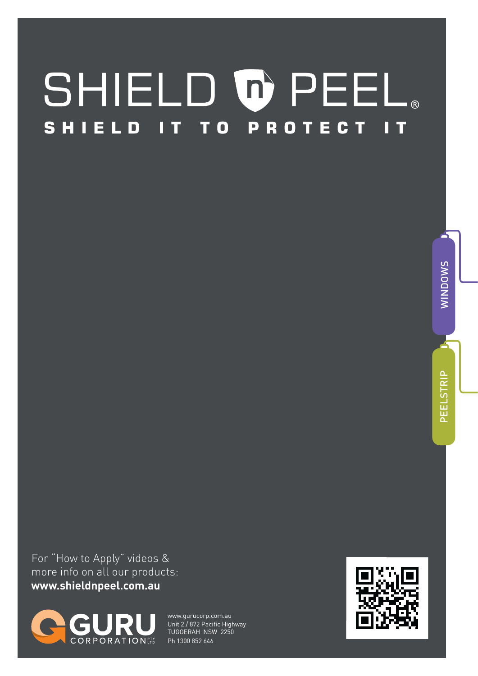#### SHIELD O PEEL® T TO PROTECT ELD **SHI** П. Т П

For "How to Apply" videos &

more info on all our products: **www.shieldnpeel.com.au**



www.gurucorp.com.au Unit 2 / 872 Pacific Highway TUGGERAH NSW 2250 Ph 1300 852 646



O ≶  $\mathsf{C}$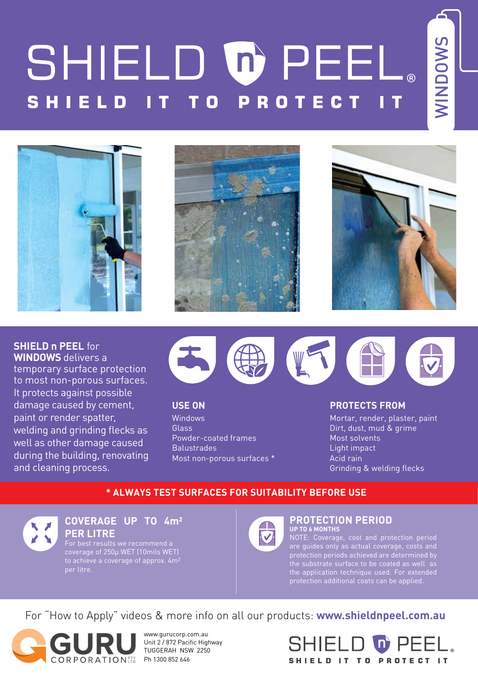# SHIELD OPEEL. n

**WINDOWS** WINDOWS







**SHIELD n PEEL** for

**WINDOWS** delivers a temporary surface protection to most non-porous surfaces. It protects against possible damage caused by cement, paint or render spatter, welding and grinding flecks as well as other damage caused during the building, renovating and cleaning process.



**USE ON**

Windows Glass Powder-coated frames **Balustrades** Most non-porous surfaces \*

#### **PROTECTS FROM**

Mortar, render, plaster, paint Dirt, dust, mud & grime Most solvents Light impact Acid rain Grinding & welding flecks

#### **\* ALWAYS TEST SURFACES FOR SUITABILITY BEFORE USE**



**COVERAGE UP TO 4m² PER LITRE**

coverage of 250µ WET (10mils WET) to achieve a coverage of approx. 4m² per litre.



#### **PROTECTION PERIOD UP TO 6 MONTHS**

NOTE: Coverage, cost and protection period are guides only as actual coverage, costs and protection periods achieved are determined by the application technique used. For extended protection additional coats can be applied.

For "How to Apply" videos & more info on all our products: **www.shieldnpeel.com.au**



www.gurucorp.com.au Unit 2 / 872 Pacific Highway TUGGERAH NSW 2250 Ph 1300 852 646

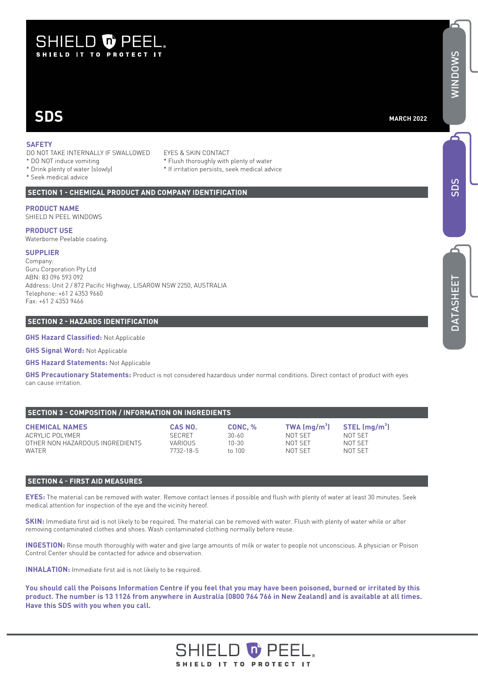## **SHIELD & PEEL** SHIELD IT TO PROTECT IT

# **SDS**

#### **MARCH 2022**

#### **SAFETY**

- DO NOT TAKE INTERNALLY IF SWALLOWED EYES & SKIN CONTACT<br>\* DO NOT induce vomiting \* \* Flush thoroughly with
- 
- 
- \* Seek medical advice
- 
- \* Flush thoroughly with plenty of water
- \* Drink plenty of water (slowly) \* If irritation persists, seek medical advice

#### **SECTION 1 - CHEMICAL PRODUCT AND COMPANY IDENTIFICATION**

#### **PRODUCT NAME**

SHIELD N PEEL WINDOWS

#### **PRODUCT USE**

Waterborne Peelable coating.

#### **SUPPLIER**

Company: Guru Corporation Pty Ltd ABN: 83 096 593 092 Address: Unit 2 / 872 Pacific Highway, LISAROW NSW 2250, AUSTRALIA Telephone: +61 2 4353 9660 Fax: +61 2 4353 9466

#### **SECTION 2 - HAZARDS IDENTIFICATION**

**GHS Hazard Classified:** Not Applicable

**GHS Signal Word:** Not Applicable

**GHS Hazard Statements:** Not Applicable

**GHS Precautionary Statements:** Product is not considered hazardous under normal conditions. Direct contact of product with eyes can cause irritation.

#### **SECTION 3 - COMPOSITION / INFORMATION ON INGREDIENTS**

| <b>CHEMICAL NAMES</b>                    | CAS NO.              | CONC. %         | TWA $\rm (mg/m^3)$ | $STEL \, (ma/m^3)$ |
|------------------------------------------|----------------------|-----------------|--------------------|--------------------|
| ACRYLIC POLYMER                          | <b>SECRET</b>        | 30-60           | NOT SFT            | NOT SFT            |
| OTHER NON HAZARDOUS INGREDIENTS<br>WATER | VARIOUS<br>7732-18-5 | 10-30<br>to 100 | NOT SFT<br>NOT SET | NOT SFT<br>NOT SFT |

#### **SECTION 4 - FIRST AID MEASURES**

**EYES:** The material can be removed with water. Remove contact lenses if possible and flush with plenty of water at least 30 minutes. Seek medical attention for inspection of the eye and the vicinity hereof.

**SKIN:** Immediate first aid is not likely to be required. The material can be removed with water. Flush with plenty of water while or after removing contaminated clothes and shoes. Wash contaminated clothing normally before reuse.

**INGESTION:** Rinse mouth thoroughly with water and give large amounts of milk or water to people not unconscious. A physician or Poison Control Center should be contacted for advice and observation.

**INHALATION:** Immediate first aid is not likely to be required.

**You should call the Poisons Information Centre if you feel that you may have been poisoned, burned or irritated by this product. The number is 13 1126 from anywhere in Australia (0800 764 766 in New Zealand) and is available at all times. Have this SDS with you when you call.**

#### **SHIELD to PEE** SHIELD IT TO PROTECT IT

SD S

Z<br>W  $\Box$ O ≶  $\mathsf{S}$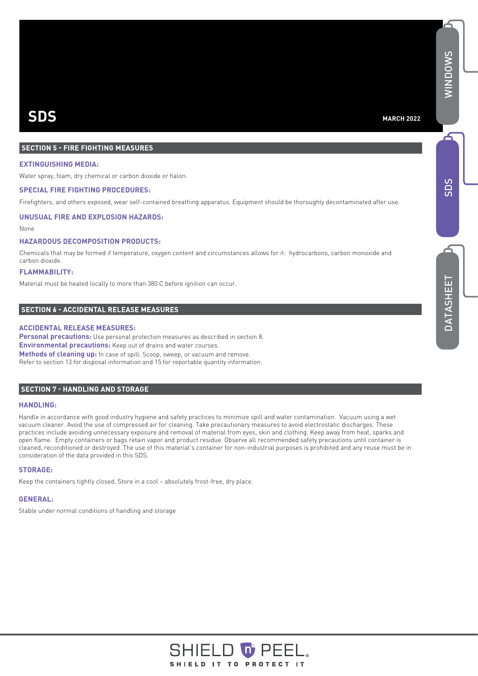#### **SECTION 5 - FIRE FIGHTING MEASURES**

#### **EXTINGUISHING MEDIA:**

Water spray, foam, dry chemical or carbon dioxide or halon.

#### **SPECIAL FIRE FIGHTING PROCEDURES:**

Firefighters, and others exposed, wear self-contained breathing apparatus. Equipment should be thoroughly decontaminated after use.

#### **UNUSUAL FIRE AND EXPLOSION HAZARDS:**

None

#### **HAZARDOUS DECOMPOSITION PRODUCTS:**

Chemicals that may be formed if temperature, oxygen content and circumstances allows for it: hydrocarbons, carbon monoxide and carbon dioxide.

#### **FLAMMABILITY:**

Material must be heated locally to more than 380 C before ignition can occur.

#### **SECTION 6 - ACCIDENTAL RELEASE MEASURES**

#### **ACCIDENTAL RELEASE MEASURES:**

 Refer to section 13 for disposal information and 15 for reportable quantity information. **Personal precautions:** Use personal protection measures as described in section 8. **Environmental precautions:** Keep out of drains and water courses. **Methods of cleaning up:** In case of spill: Scoop, sweep, or vacuum and remove.

#### **SECTION 7 - HANDLING AND STORAGE**

#### **HANDLING:**

Handle in accordance with good industry hygiene and safety practices to minimize spill and water contamination. Vacuum using a wet vacuum cleaner. Avoid the use of compressed air for cleaning. Take precautionary measures to avoid electrostatic discharges. These practices include avoiding unnecessary exposure and removal of material from eyes, skin and clothing. Keep away from heat, sparks and open flame. Empty containers or bags retain vapor and product residue. Observe all recommended safety precautions until container is cleaned, reconditioned or destroyed. The use of this material's container for non-industrial purposes is prohibited and any reuse must be in consideration of the data provided in this SDS.

#### **STORAGE:**

Keep the containers tightly closed. Store in a cool – absolutely frost-free, dry place.

#### **GENERAL:**

Stable under normal conditions of handling and storage

6

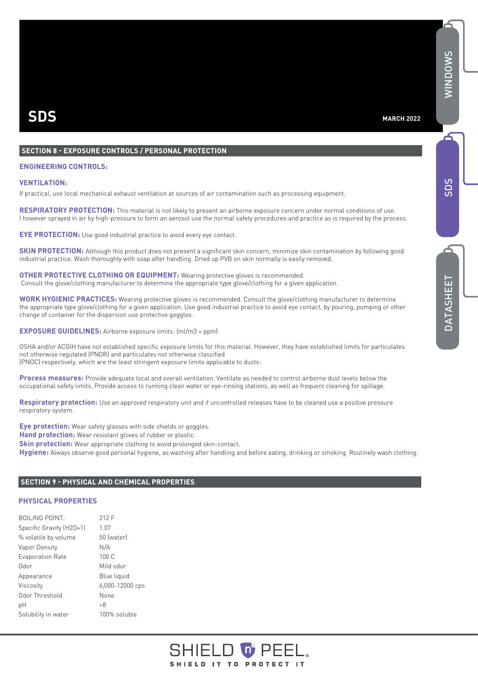#### **SECTION 8 - EXPOSURE CONTROLS / PERSONAL PROTECTION**

#### **ENGINEERING CONTROLS:**

#### **VENTILATION:**

If practical, use local mechanical exhaust ventilation at sources of air contamination such as processing equipment.

**RESPIRATORY PROTECTION:** This material is not likely to present an airborne exposure concern under normal conditions of use. I however sprayed in air by high-pressure to form an aerosol use the normal safety procedures and practice as is required by the process.

**EYE PROTECTION:** Use good industrial practice to avoid every eye contact.

**SKIN PROTECTION:** Although this product does not present a significant skin concern, minimize skin contamination by following good industrial practice. Wash thoroughly with soap after handling. Dried up PVB on skin normally is easily removed.

**OTHER PROTECTIVE CLOTHING OR EQUIPMENT:** Wearing protective gloves is recommended. Consult the glove/clothing manufacturer to determine the appropriate type glove/clothing for a given application.

**WORK HYGIENIC PRACTICES:** Wearing protective gloves is recommended. Consult the glove/clothing manufacturer to determine the appropriate type glove/clothing for a given application. Use good industrial practice to avoid eye contact, by pouring, pumping or other change of container for the dispersion use protective goggles.

**EXPOSURE GUIDELINES:** Airborne exposure limits: (ml/m3 = ppm)

OSHA and/or ACGIH have not established specific exposure limits for this material. However, they have established limits for particulates not otherwise regulated (PNOR) and particulates not otherwise classified (PNOC) respectively, which are the least stringent exposure limits applicable to dusts:

**Process measures:** Provide adequate local and overall ventilation. Ventilate as needed to control airborne dust levels below the occupational safety limits. Provide access to running clean water or eye-rinsing stations, as well as frequent cleaning for spillage.

**Respiratory protection:** Use an approved respiratory unit and if uncontrolled releases have to be cleaned use a positive pressure respiratory system.

**Eye protection:** Wear safety glasses with side shields or goggles.

**Hand protection:** Wear resistant gloves of rubber or plastic.

**Skin protection:** Wear appropriate clothing to avoid prolonged skin-contact.

**Hygiene:** Always observe good personal hygiene, as washing after handling and before eating, drinking or smoking. Routinely wash clothing.

#### **SECTION 9 - PHYSICAL AND CHEMICAL PROPERTIES**

#### **PHYSICAL PROPERTIES**

| <b>BOILING POINT:</b>    | 212 F           |
|--------------------------|-----------------|
| Specific Gravity (H2O=1) | 1.07            |
| % volatile by volume     | 50 (water)      |
| Vapor Density            | N/A             |
| <b>Evaporation Rate</b>  | 100C            |
| Odor                     | Mild odor       |
| Appearance               | Blue liquid     |
| Viscosity                | 6,000-12000 cps |
| Odor Threshold           | None            |
| рH                       | >8              |
| Solubility in water      | 100% soluble    |
|                          |                 |

#### D O PEE SHIELD IT TO PROTECT IT

SD S

Z<br>W  $\Box$  $\circ$ ≶  $\mathsf{S}$ 

6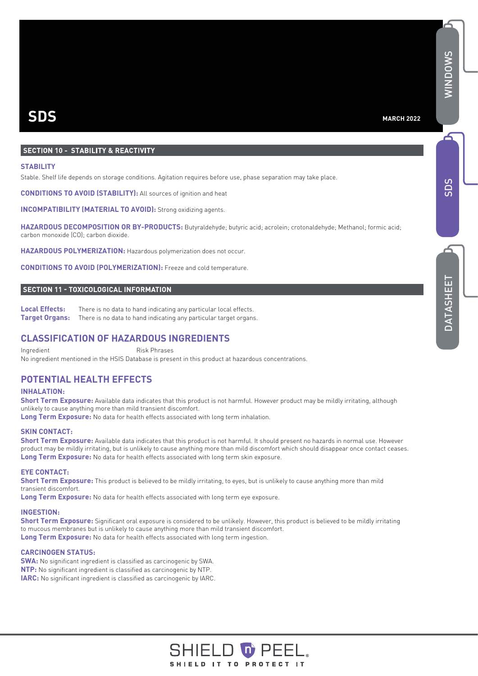DATASHEE DATASHEET

# **SDS**

#### **MARCH 2022**

#### **SECTION 10 - STABILITY & REACTIVITY**

#### **STABILITY**

Stable. Shelf life depends on storage conditions. Agitation requires before use, phase separation may take place.

**CONDITIONS TO AVOID (STABILITY):** All sources of ignition and heat

**INCOMPATIBILITY (MATERIAL TO AVOID):** Strong oxidizing agents.

**HAZARDOUS DECOMPOSITION OR BY-PRODUCTS:** Butyraldehyde; butyric acid; acrolein; crotonaldehyde; Methanol; formic acid; carbon monoxide (CO); carbon dioxide.

**HAZARDOUS POLYMERIZATION:** Hazardous polymerization does not occur.

**CONDITIONS TO AVOID (POLYMERIZATION):** Freeze and cold temperature.

#### **SECTION 11 - TOXICOLOGICAL INFORMATION**

**Local Effects:** There is no data to hand indicating any particular local effects. **Target Organs:** There is no data to hand indicating any particular target organs.

#### **CLASSIFICATION OF HAZARDOUS INGREDIENTS**

Ingredient Risk Phrases No ingredient mentioned in the HSIS Database is present in this product at hazardous concentrations.

#### **POTENTIAL HEALTH EFFECTS**

#### **INHALATION:**

**Short Term Exposure:** Available data indicates that this product is not harmful. However product may be mildly irritating, although unlikely to cause anything more than mild transient discomfort.

**Long Term Exposure:** No data for health effects associated with long term inhalation.

#### **SKIN CONTACT:**

**Short Term Exposure:** Available data indicates that this product is not harmful. It should present no hazards in normal use. However product may be mildly irritating, but is unlikely to cause anything more than mild discomfort which should disappear once contact ceases. **Long Term Exposure:** No data for health effects associated with long term skin exposure.

#### **EYE CONTACT:**

**Short Term Exposure:** This product is believed to be mildly irritating, to eyes, but is unlikely to cause anything more than mild transient discomfort.

**Long Term Exposure:** No data for health effects associated with long term eye exposure.

#### **INGESTION:**

Short Term Exposure: Significant oral exposure is considered to be unlikely. However, this product is believed to be mildly irritating to mucous membranes but is unlikely to cause anything more than mild transient discomfort. **Long Term Exposure:** No data for health effects associated with long term ingestion.

#### **CARCINOGEN STATUS:**

**SWA:** No significant ingredient is classified as carcinogenic by SWA. **NTP:** No significant ingredient is classified as carcinogenic by NTP. **IARC:** No significant ingredient is classified as carcinogenic by IARC.

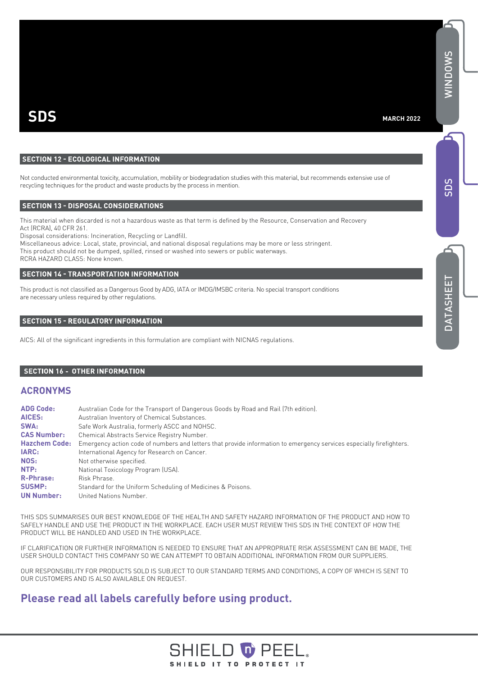#### **MARCH 2022**

#### **SECTION 12 - ECOLOGICAL INFORMATION**

Not conducted environmental toxicity, accumulation, mobility or biodegradation studies with this material, but recommends extensive use of recycling techniques for the product and waste products by the process in mention.

#### **SECTION 13 - DISPOSAL CONSIDERATIONS**

This material when discarded is not a hazardous waste as that term is defined by the Resource, Conservation and Recovery Act (RCRA), 40 CFR 261.

Disposal considerations: Incineration, Recycling or Landfill.

Miscellaneous advice: Local, state, provincial, and national disposal regulations may be more or less stringent. This product should not be dumped, spilled, rinsed or washed into sewers or public waterways.

RCRA HAZARD CLASS: None known.

#### **SECTION 14 - TRANSPORTATION INFORMATION**

This product is not classified as a Dangerous Good by ADG, IATA or IMDG/IMSBC criteria. No special transport conditions are necessary unless required by other regulations.

#### **SECTION 15 - REGULATORY INFORMATION**

AICS: All of the significant ingredients in this formulation are compliant with NICNAS regulations.

#### **SECTION 16 - OTHER INFORMATION**

#### **ACRONYMS**

| <b>ADG Code:</b>     | Australian Code for the Transport of Dangerous Goods by Road and Rail (7th edition).                                 |
|----------------------|----------------------------------------------------------------------------------------------------------------------|
| AICES:               | Australian Inventory of Chemical Substances.                                                                         |
| SWA:                 | Safe Work Australia, formerly ASCC and NOHSC.                                                                        |
| <b>CAS Number:</b>   | Chemical Abstracts Service Registry Number.                                                                          |
| <b>Hazchem Code:</b> | Emergency action code of numbers and letters that provide information to emergency services especially firefighters. |
| <b>IARC:</b>         | International Agency for Research on Cancer.                                                                         |
| NOS:                 | Not otherwise specified.                                                                                             |
| NTP:                 | National Toxicology Program (USA).                                                                                   |
| <b>R-Phrase:</b>     | Risk Phrase.                                                                                                         |
| <b>SUSMP:</b>        | Standard for the Uniform Scheduling of Medicines & Poisons.                                                          |
| <b>UN Number:</b>    | United Nations Number.                                                                                               |

THIS SDS SUMMARISES OUR BEST KNOWLEDGE OF THE HEALTH AND SAFETY HAZARD INFORMATION OF THE PRODUCT AND HOW TO SAFELY HANDLE AND USE THE PRODUCT IN THE WORKPLACE. EACH USER MUST REVIEW THIS SDS IN THE CONTEXT OF HOW THE PRODUCT WILL BE HANDLED AND USED IN THE WORKPLACE.

IF CLARIFICATION OR FURTHER INFORMATION IS NEEDED TO ENSURE THAT AN APPROPRIATE RISK ASSESSMENT CAN BE MADE, THE USER SHOULD CONTACT THIS COMPANY SO WE CAN ATTEMPT TO OBTAIN ADDITIONAL INFORMATION FROM OUR SUPPLIERS.

OUR RESPONSIBILITY FOR PRODUCTS SOLD IS SUBJECT TO OUR STANDARD TERMS AND CONDITIONS, A COPY OF WHICH IS SENT TO OUR CUSTOMERS AND IS ALSO AVAILABLE ON REQUEST.

#### **Please read all labels carefully before using product.**

#### SHIELD **O** PEEI SHIELD IT TO PROTECT IT

Z<br>W  $\Box$ OWS

6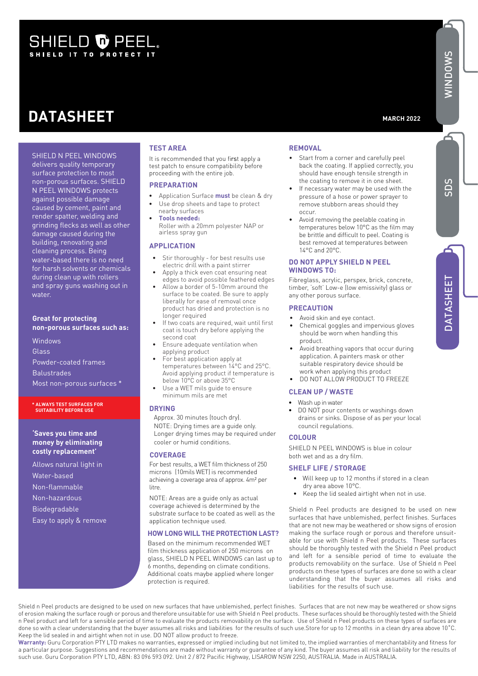# SHIELD O PEEL.

# **DATASHEET**

**MARCH 2022**

SHIELD N PEEL WINDOWS delivers quality temporary surface protection to most non-porous surfaces. SHIELD N PEEL WINDOWS protects against possible damage caused by cement, paint and render spatter, welding and grinding flecks as well as other damage caused during the building, renovating and cleaning process. Being water-based there is no need for harsh solvents or chemicals during clean up with rollers and spray guns washing out in water.

#### **Great for protecting non-porous surfaces such as:**

Windows Glass Powder-coated frames **Balustrades** Most non-porous surfaces \*

#### **\* ALWAYS TEST SURFACES FOR SUITABILITY BEFORE USE**

#### **'Saves you time and money by eliminating costly replacement'**

Allows natural light in Water-based Non-flammable Non-hazardous Biodegradable Easy to apply & remove

#### **TEST AREA**

It is recommended that you first apply a test patch to ensure compatibility before proceeding with the entire job.

#### **PREPARATION**

- Application Surface **must** be clean & dry Use drop sheets and tape to protect
- nearby surfaces • **Tools needed:** Roller with a 20mm polyester NAP or

#### airless spray gun **APPLICATION**

- Stir thoroughly for best results use electric drill with a paint stirrer
- Apply a thick even coat ensuring neat edges to avoid possible feathered edges
- Allow a border of 5-10mm around the surface to be coated. Be sure to apply liberally for ease of removal once product has dried and protection is no longer required
- If two coats are required, wait until first coat is touch dry before applying the second coat
- Ensure adequate ventilation when applying product
- For best application apply at temperatures between 14°C and 25°C. Avoid applying product if temperature is below 10°C or above 35°C
- Use a WET mils guide to ensure minimum mils are met

#### **DRYING**

Approx. 30 minutes (touch dry). NOTE: Drying times are a guide only. Longer drying times may be required under cooler or humid conditions.

#### **COVERAGE**

For best results, a WET film thickness of 250 microns (10mils WET) is recommended achieving a coverage area of approx. 4m² per litre.

NOTE: Areas are a guide only as actual coverage achieved is determined by the substrate surface to be coated as well as the application technique used.

#### **HOW LONG WILL THE PROTECTION LAST?**

Based on the minimum recommended WET film thickness application of 250 microns on glass, SHIELD N PEEL WINDOWS can last up to 6 months, depending on climate conditions. Additional coats maybe applied where longer protection is required.

#### **REMOVAL**

- Start from a corner and carefully peel back the coating. If applied correctly, you should have enough tensile strength in the coating to remove it in one sheet.
- If necessary water may be used with the pressure of a hose or power sprayer to remove stubborn areas should they occur.
- Avoid removing the peelable coating in temperatures below 10°C as the film may be brittle and difficult to peel. Coating is best removed at temperatures between 14°C and 20°C.

#### **DO NOT APPLY SHIELD N PEEL WINDOWS TO:**

Fibreglass, acrylic, perspex, brick, concrete, timber, 'soft' Low-e (low emissivity) glass or any other porous surface.

#### **PRECAUTION**

- Avoid skin and eye contact. • Chemical goggles and impervious gloves should be worn when handling this product.
- Avoid breathing vapors that occur during application. A painters mask or other suitable respiratory device should be work when applying this product
- DO NOT ALLOW PRODUCT TO FREEZE

#### **CLEAN UP / WASTE**

- Wash up in water
- DO NOT pour contents or washings down drains or sinks. Dispose of as per your local council regulations.

#### **COLOUR**

SHIELD N PEEL WINDOWS is blue in colour both wet and as a dry film.

#### **SHELF LIFE / STORAGE**

- Will keep up to 12 months if stored in a clean dry area above 10°C.
- Keep the lid sealed airtight when not in use.

Shield n Peel products are designed to be used on new surfaces that have unblemished, perfect finishes. Surfaces that are not new may be weathered or show signs of erosion making the surface rough or porous and therefore unsuitable for use with Shield n Peel products. These surfaces should be thoroughly tested with the Shield n Peel product and left for a sensible period of time to evaluate the products removability on the surface. Use of Shield n Peel products on these types of surfaces are done so with a clear understanding that the buyer assumes all risks and liabilities for the results of such use.

Shield n Peel products are designed to be used on new surfaces that have unblemished, perfect finishes. Surfaces that are not new may be weathered or show signs of erosion making the surface rough or porous and therefore unsuitable for use with Shield n Peel products. These surfaces should be thoroughly tested with the Shield n Peel product and left for a sensible period of time to evaluate the products removability on the surface. Use of Shield n Peel products on these types of surfaces are done so with a clear understanding that the buyer assumes all risks and liabilities for the results of such use.Store for up to 12 months in a clean dry area above 10˚C. Keep the lid sealed in and airtight when not in use. DO NOT allow product to freeze.

**Warranty:** Guru Corporation PTY LTD makes no warranties, expressed or implied including but not limited to, the implied warranties of merchantability and fitness for a particular purpose. Suggestions and recommendations are made without warranty or guarantee of any kind. The buyer assumes all risk and liability for the results of such use. Guru Corporation PTY LTD, ABN: 83 096 593 092. Unit 2 / 872 Pacific Highway, LISAROW NSW 2250, AUSTRALIA. Made in AUSTRALIA.

# Ë DATASHEET SDS

SDS

Q<br>MIND  $\circ$ ≶  $\mathsf{S}$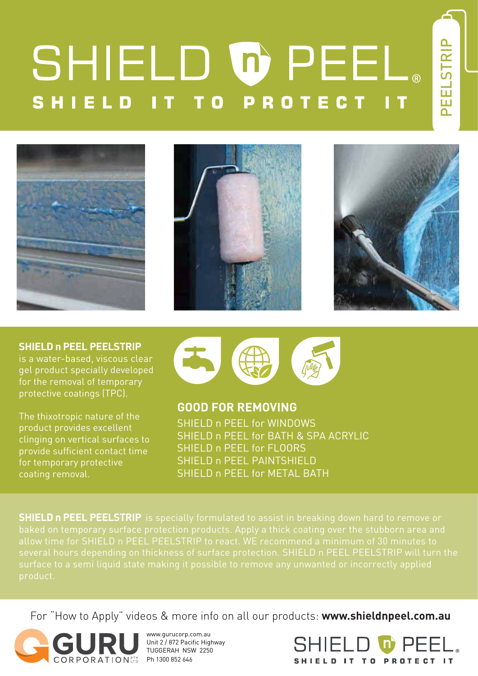# SHIELD OPEEL. **SHIELD PROTECT** T O









**SHIELD n PEEL PEELSTRIP** 

is a water-based, viscous clear gel product specially developed for the removal of temporary protective coatings (TPC).

The thixotropic nature of the product provides excellent clinging on vertical surfaces to provide sufficient contact time for temporary protective coating removal.



**GOOD FOR REMOVING** SHIELD n PEEL for WINDOWS SHIELD n PEEL for BATH & SPA ACRYLIC SHIELD n PEEL for FLOORS SHIELD n PEEL PAINTSHIELD SHIELD n PEEL for METAL BATH

**SHIELD n PEEL PEELSTRIP** is specially formulated to assist in breaking down hard to remove or product.

For "How to Apply" videos & more info on all our products: **www.shieldnpeel.com.au**



www.gurucorp.com.au Unit 2 / 872 Pacific Highway TUGGERAH NSW 2250

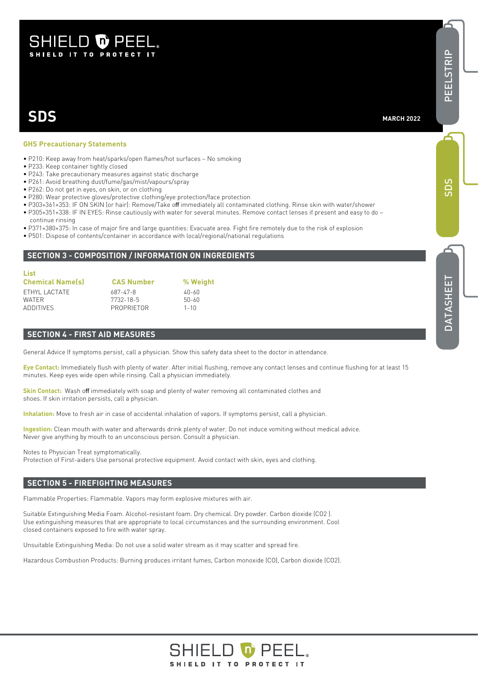### **SHIELD & PEEI** SHIELD IT TO PROTECT IT

# **SDS**

## **GHS Precautionary Statements**

- P210: Keep away from heat/sparks/open flames/hot surfaces No smoking
- P233: Keep container tightly closed
- P243: Take precautionary measures against static discharge
- P261: Avoid breathing dust/fume/gas/mist/vapours/spray
- P262: Do not get in eyes, on skin, or on clothing
- P280: Wear protective gloves/protective clothing/eye protection/face protection
- P303+361+353: IF ON SKIN (or hair): Remove/Take off immediately all contaminated clothing. Rinse skin with water/shower
- P305+351+338: IF IN EYES: Rinse cautiously with water for several minutes. Remove contact lenses if present and easy to do –
- continue rinsing
- P371+380+375: In case of major fire and large quantities: Evacuate area. Fight fire remotely due to the risk of explosion
- P501: Dispose of contents/container in accordance with local/regional/national regulations

#### **SECTION 3 - COMPOSITION / INFORMATION ON INGREDIENTS**

| List                    |                   |           |
|-------------------------|-------------------|-----------|
| <b>Chemical Name(s)</b> | <b>CAS Number</b> | % Weight  |
| FTHYL LACTATE           | 687-47-8          | 40-60     |
| <b>WATER</b>            | 7732-18-5         | $50 - 60$ |
| <b>ADDITIVES</b>        | PROPRIFTOR        | $1 - 10$  |

#### **SECTION 4 - FIRST AID MEASURES**

General Advice If symptoms persist, call a physician. Show this safety data sheet to the doctor in attendance.

**Eye Contact:** Immediately flush with plenty of water. After initial flushing, remove any contact lenses and continue flushing for at least 15 minutes. Keep eyes wide open while rinsing. Call a physician immediately.

**Skin Contact:** Wash off immediately with soap and plenty of water removing all contaminated clothes and shoes. If skin irritation persists, call a physician.

**Inhalation:** Move to fresh air in case of accidental inhalation of vapors. If symptoms persist, call a physician.

**Ingestion:** Clean mouth with water and afterwards drink plenty of water. Do not induce vomiting without medical advice. Never give anything by mouth to an unconscious person. Consult a physician.

Notes to Physician Treat symptomatically.

Protection of First-aiders Use personal protective equipment. Avoid contact with skin, eyes and clothing.

#### **SECTION 5 - FIREFIGHTING MEASURES**

Flammable Properties: Flammable. Vapors may form explosive mixtures with air.

Suitable Extinguishing Media Foam. Alcohol-resistant foam. Dry chemical. Dry powder. Carbon dioxide (CO2 ). Use extinguishing measures that are appropriate to local circumstances and the surrounding environment. Cool closed containers exposed to fire with water spray.

Unsuitable Extinguishing Media: Do not use a solid water stream as it may scatter and spread fire.

Hazardous Combustion Products: Burning produces irritant fumes, Carbon monoxide (CO), Carbon dioxide (CO2).



PEELSTRIP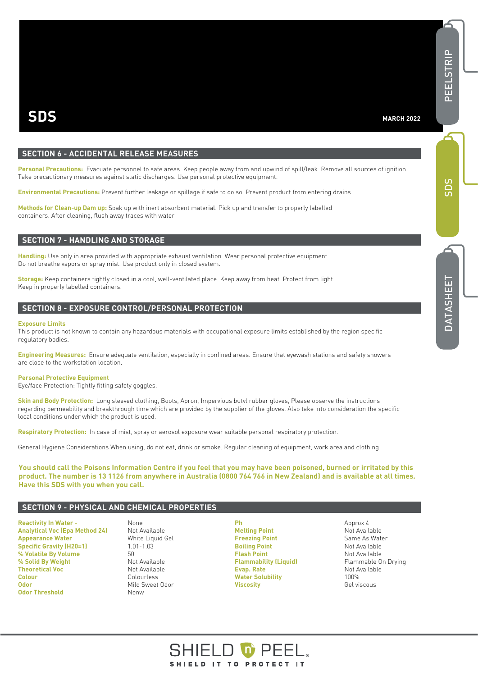#### **SECTION 6 - ACCIDENTAL RELEASE MEASURES**

Personal Precautions: Evacuate personnel to safe areas. Keep people away from and upwind of spill/leak. Remove all sources of ignition. Take precautionary measures against static discharges. Use personal protective equipment.

**Environmental Precautions:** Prevent further leakage or spillage if safe to do so. Prevent product from entering drains.

**Methods for Clean-up Dam up:** Soak up with inert absorbent material. Pick up and transfer to properly labelled containers. After cleaning, flush away traces with water

#### **SECTION 7 - HANDLING AND STORAGE**

**Handling:** Use only in area provided with appropriate exhaust ventilation. Wear personal protective equipment. Do not breathe vapors or spray mist. Use product only in closed system.

**Storage:** Keep containers tightly closed in a cool, well-ventilated place. Keep away from heat. Protect from light. Keep in properly labelled containers.

#### **SECTION 8 - EXPOSURE CONTROL/PERSONAL PROTECTION**

#### **Exposure Limits**

This product is not known to contain any hazardous materials with occupational exposure limits established by the region specific regulatory bodies.

**Engineering Measures:** Ensure adequate ventilation, especially in confined areas. Ensure that eyewash stations and safety showers are close to the workstation location.

#### **Personal Protective Equipment**

Eye/face Protection: Tightly fitting safety goggles.

**Skin and Body Protection:** Long sleeved clothing, Boots, Apron, Impervious butyl rubber gloves, Please observe the instructions regarding permeability and breakthrough time which are provided by the supplier of the gloves. Also take into consideration the specific local conditions under which the product is used.

**Respiratory Protection:** In case of mist, spray or aerosol exposure wear suitable personal respiratory protection.

General Hygiene Considerations When using, do not eat, drink or smoke. Regular cleaning of equipment, work area and clothing

**You should call the Poisons Information Centre if you feel that you may have been poisoned, burned or irritated by this product. The number is 13 1126 from anywhere in Australia (0800 764 766 in New Zealand) and is available at all times. Have this SDS with you when you call.**

#### **SECTION 9 - PHYSICAL AND CHEMICAL PROPERTIES**

**Reactivity In Water - None Analytical Voc (Epa Method 24)** Not Available **Appearance Water** White Liquid Gel<br> **Specific Gravity (H20=1)** 1.01-1.03 **Specific Gravity (H20=1) % Volatile By Volume** 50<br> **% Solid By Weight Contract Solid By Weight Not Available % Solid By Weight Theoretical Voc** Not Available **Colour** Colourless **Odor** Mild Sweet Odor **Odor Threshold** Nonw

**Melting Point Melting Point Not Available Freezing Point** Same As Water **Boiling Point** Not Available **Flash Point** Not Available **Flammability (Liquid)** Flammable On Drying **Evap. Rate Not Available Water Solubility Not Available Water Solubility 100% Properties and Material Solution 100% Properties and Material Solution 100% Properties**<br>Properties and Material Solution of the University of the University of the University of the University of th<br> **Viscosity** 

**D O** PEE

SHIELD IT TO PROTECT IT

**Ph** Approx 4

SDS

PEELSTRIP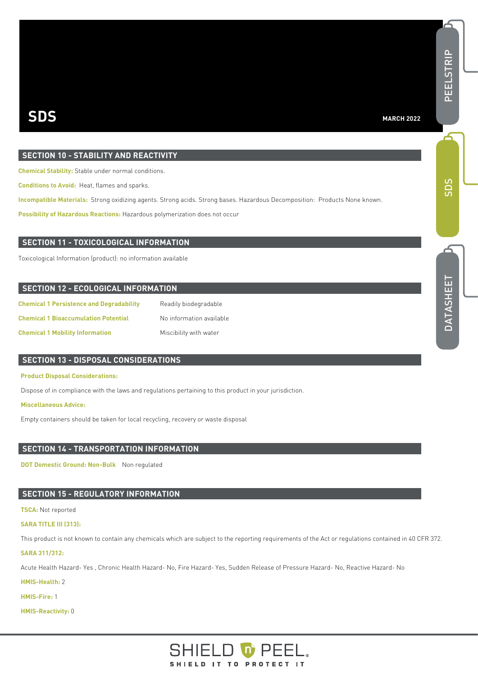#### **MARCH 2022**

#### **SECTION 10 - STABILITY AND REACTIVITY**

**Chemical Stability:** Stable under normal conditions.

**Conditions to Avoid:** Heat, flames and sparks.

**Incompatible Materials:** Strong oxidizing agents. Strong acids. Strong bases. Hazardous Decomposition: Products None known.

**Possibility of Hazardous Reactions:** Hazardous polymerization does not occur

#### **SECTION 11 - TOXICOLOGICAL INFORMATION**

Toxicological Information (product): no information available

#### **SECTION 12 - ECOLOGICAL INFORMATION**

| <b>Chemical 1 Persistence and Degradability</b> | Readily biodegradable    |
|-------------------------------------------------|--------------------------|
| <b>Chemical 1 Bioaccumulation Potential</b>     | No information available |
| <b>Chemical 1 Mobility Information</b>          | Miscibility with water   |

#### **SECTION 13 - DISPOSAL CONSIDERATIONS**

#### **Product Disposal Considerations:**

Dispose of in compliance with the laws and regulations pertaining to this product in your jurisdiction.

#### **Miscellaneous Advice:**

Empty containers should be taken for local recycling, recovery or waste disposal

#### **SECTION 14 - TRANSPORTATION INFORMATION**

**DOT Domestic Ground: Non-Bulk** Non regulated

#### **SECTION 15 - REGULATORY INFORMATION**

#### **TSCA:** Not reported

#### **SARA TITLE III (313):**

This product is not known to contain any chemicals which are subject to the reporting requirements of the Act or regulations contained in 40 CFR 372.

#### **SARA 311/312:**

Acute Health Hazard- Yes , Chronic Health Hazard- No, Fire Hazard- Yes, Sudden Release of Pressure Hazard- No, Reactive Hazard- No

**HMIS-Health:** 2

**HMIS-Fire:** 1

**HMIS-Reactivity:** 0



PEELSTRIP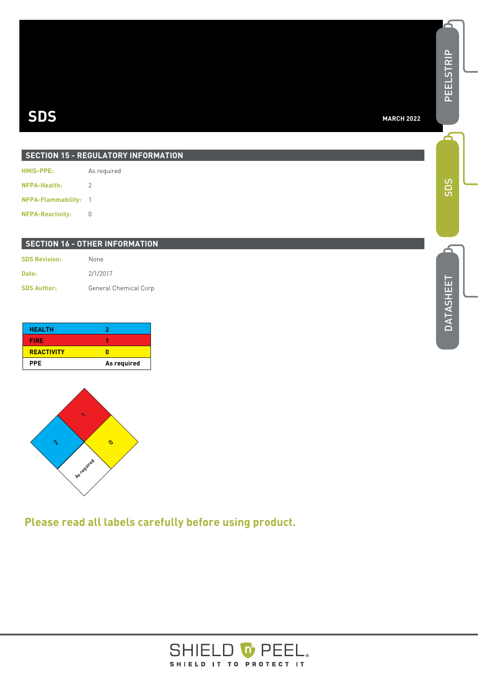| <b>SECTION 15 - REGULATORY INFORMATION</b> |                |  |
|--------------------------------------------|----------------|--|
| <b>HMIS-PPE:</b>                           | As required    |  |
| NFPA-Health:                               | 2              |  |
| <b>NFPA-Flammability:</b>                  | $\overline{1}$ |  |

**NFPA-Reactivity:** 0

#### **SECTION 16 - OTHER INFORMATION**

| <b>SDS Revision:</b> | None                  |
|----------------------|-----------------------|
| Date:                | 2/1/2017              |
| <b>SDS Author:</b>   | General Chemical Corp |

| <b>HEALTH</b>     | 7           |
|-------------------|-------------|
| <b>FIRE</b>       |             |
| <b>REACTIVITY</b> |             |
| <b>PPE</b>        | As required |



**Please read all labels carefully before using product.**



SDS

ک

PEELSTRIP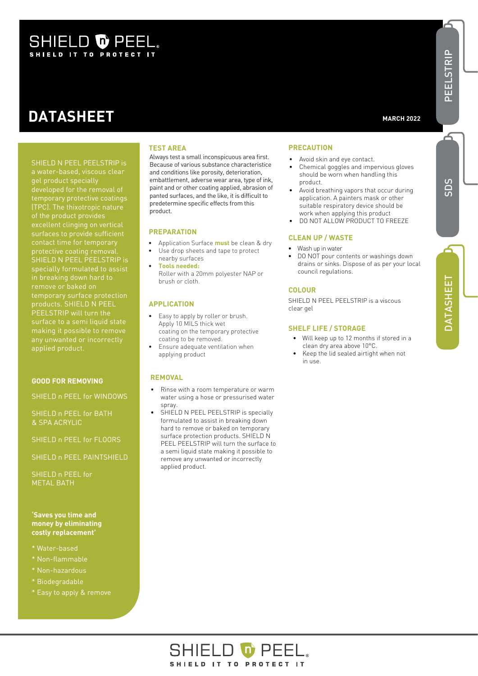# SHIELD O PEEL

# **DATASHEET**

Always test a small inconspicuous area first. Because of various substance characteristice and conditions like porosity, deterioration, embattlement, adverse wear area, type of ink, paint and or other coating applied, abrasion of panted surfaces, and the like, it is difficult to predetermine specific effects from this product.

#### **PREPARATION**

**TEST AREA**

- Application Surface **must** be clean & dry
- Use drop sheets and tape to protect nearby surfaces
- **Tools needed:** Roller with a 20mm polyester NAP or brush or cloth.

#### **APPLICATION**

- Easy to apply by roller or brush. Apply 10 MILS thick wet coating on the temporary protective coating to be removed.
- Ensure adequate ventilation when applying product

#### **REMOVAL**

- Rinse with a room temperature or warm water using a hose or pressurised water spray.
- SHIELD N PEEL PEELSTRIP is specially formulated to assist in breaking down hard to remove or baked on temporary surface protection products. SHIELD N PEEL PEELSTRIP will turn the surface to a semi liquid state making it possible to remove any unwanted or incorrectly applied product.

#### **PRECAUTION**

- Avoid skin and eye contact.
- Chemical goggles and impervious gloves should be worn when handling this product.
- Avoid breathing vapors that occur during application. A painters mask or other suitable respiratory device should be work when applying this product
- DO NOT ALLOW PRODUCT TO FREEZE

#### **CLEAN UP / WASTE**

- Wash up in water
- DO NOT pour contents or washings down drains or sinks. Dispose of as per your local council regulations.

#### **COLOUR**

SHIELD N PEEL PEELSTRIP is a viscous clear gel

#### **SHELF LIFE / STORAGE**

- Will keep up to 12 months if stored in a clean dry area above 10°C.
- Keep the lid sealed airtight when not in use.

SHIELD N PEEL PEELSTRIP is gel product specially (TPC). The thixotropic nature excellent clinging on vertical surfaces to provide sufficient contact time for temporary protective coating removal. SHIELD N PEEL PEELSTRIP is specially formulated to assist products. SHIELD N PEEL PEELSTRIP will turn the surface to a semi liquid state making it possible to remove any unwanted or incorrectly applied product.

#### **GOOD FOR REMOVING**

SHIELD n PEEL for WINDOWS

SHIELD n PEEL for BATH & SPA ACRYLIC

SHIELD n PEEL for FLOORS

SHIELD n PEEL PAINTSHIELD

SHIELD n PEEL for METAL BATH

#### **'Saves you time and money by eliminating costly replacement'**

- \* Water-based
- \* Non-flammable
- \* Non-hazardous
- \* Biodegradable
- \* Easy to apply & remove



PEELSTRIP

PEELSTRII

 $\overline{\mathbf{r}}$